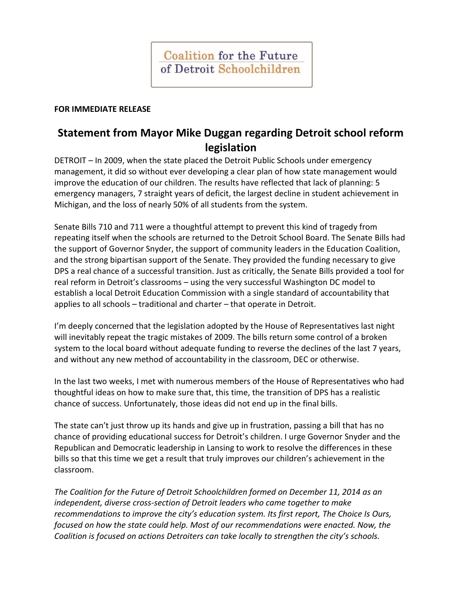## **FOR IMMEDIATE RELEASE**

## **Statement from Mayor Mike Duggan regarding Detroit school reform legislation**

DETROIT – In 2009, when the state placed the Detroit Public Schools under emergency management, it did so without ever developing a clear plan of how state management would improve the education of our children. The results have reflected that lack of planning: 5 emergency managers, 7 straight years of deficit, the largest decline in student achievement in Michigan, and the loss of nearly 50% of all students from the system.

Senate Bills 710 and 711 were a thoughtful attempt to prevent this kind of tragedy from repeating itself when the schools are returned to the Detroit School Board. The Senate Bills had the support of Governor Snyder, the support of community leaders in the Education Coalition, and the strong bipartisan support of the Senate. They provided the funding necessary to give DPS a real chance of a successful transition. Just as critically, the Senate Bills provided a tool for real reform in Detroit's classrooms – using the very successful Washington DC model to establish a local Detroit Education Commission with a single standard of accountability that applies to all schools – traditional and charter – that operate in Detroit.

I'm deeply concerned that the legislation adopted by the House of Representatives last night will inevitably repeat the tragic mistakes of 2009. The bills return some control of a broken system to the local board without adequate funding to reverse the declines of the last 7 years, and without any new method of accountability in the classroom, DEC or otherwise.

In the last two weeks, I met with numerous members of the House of Representatives who had thoughtful ideas on how to make sure that, this time, the transition of DPS has a realistic chance of success. Unfortunately, those ideas did not end up in the final bills.

The state can't just throw up its hands and give up in frustration, passing a bill that has no chance of providing educational success for Detroit's children. I urge Governor Snyder and the Republican and Democratic leadership in Lansing to work to resolve the differences in these bills so that this time we get a result that truly improves our children's achievement in the classroom.

*The Coalition for the Future of Detroit Schoolchildren formed on December 11, 2014 as an independent, diverse cross-section of Detroit leaders who came together to make recommendations to improve the city's education system. Its first report, The Choice Is Ours, focused on how the state could help. Most of our recommendations were enacted. Now, the Coalition is focused on actions Detroiters can take locally to strengthen the city's schools.*